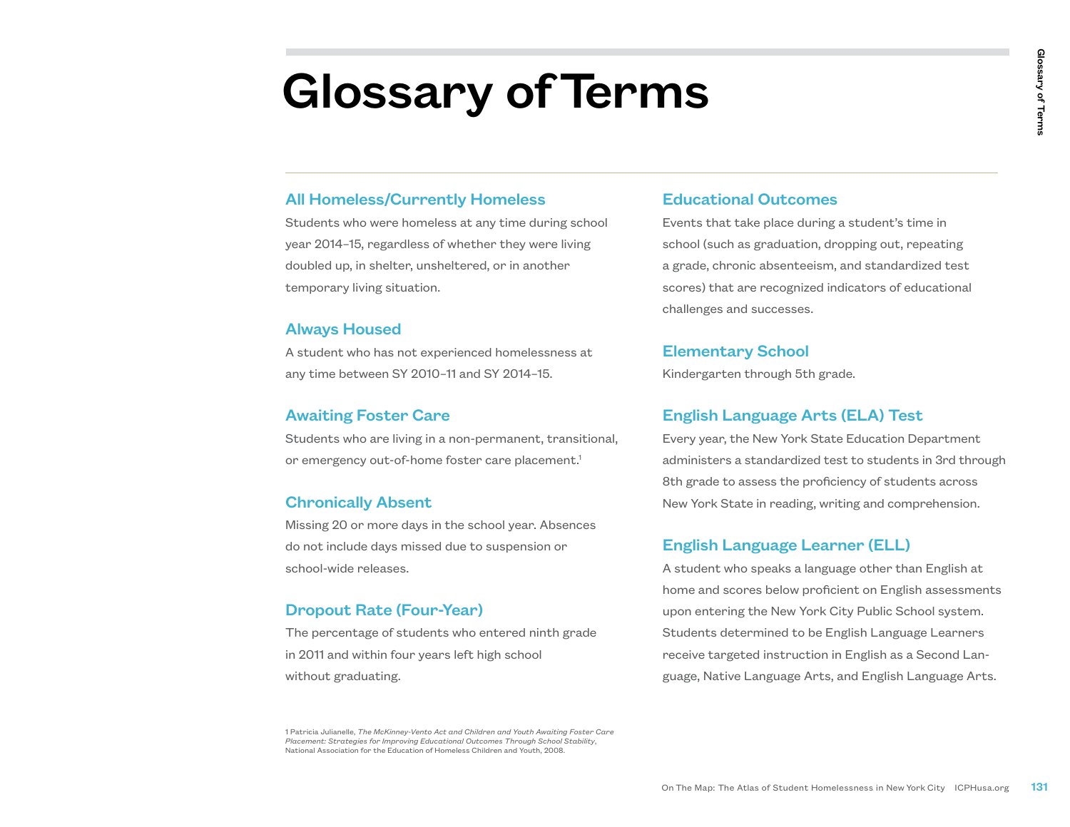# Glossary of Terms

#### All Homeless/Currently Homeless

Students who were homeless at any time during school year 2014–15, regardless of whether they were living doubled up, in shelter, unsheltered, or in another temporary living situation.

#### Always Housed

A student who has not experienced homelessness at any time between SY 2010–11 and SY 2014–15.

#### Awaiting Foster Care

Students who are living in a non-permanent, transitional, or emergency out-of-home foster care placement.<sup>1</sup>

#### Chronically Absent

Missing 20 or more days in the school year. Absences do not include days missed due to suspension or school-wide releases.

#### Dropout Rate (Four-Year)

The percentage of students who entered ninth grade in 2011 and within four years left high school without graduating.

#### Educational Outcomes

Events that take place during a student's time in school (such as graduation, dropping out, repeating a grade, chronic absenteeism, and standardized test scores) that are recognized indicators of educational challenges and successes.

#### Elementary School

Kindergarten through 5th grade.

#### English Language Arts (ELA) Test

Every year, the New York State Education Department administers a standardized test to students in 3rd through 8th grade to assess the proficiency of students across New York State in reading, writing and comprehension.

#### English Language Learner (ELL)

**Contain and Conference**<br>
Educational Outcomes<br>
Events that take place during a student's time in<br>
school (such as graduation, dropping out, repeating<br>
a grade, chronic absenteeism, and standardized test<br>
scores) that are A student who speaks a language other than English at home and scores below proficient on English assessments upon entering the New York City Public School system. Students determined to be English Language Learners receive targeted instruction in English as a Second Language, Native Language Arts, and English Language Arts.

1 Patricia Julianelle, *The McKinney-Vento Act and Children and Youth Awaiting Foster Care Placement: Strategies for Improving Educational Outcomes Through School Stability*, National Association for the Education of Homeless Children and Youth, 2008.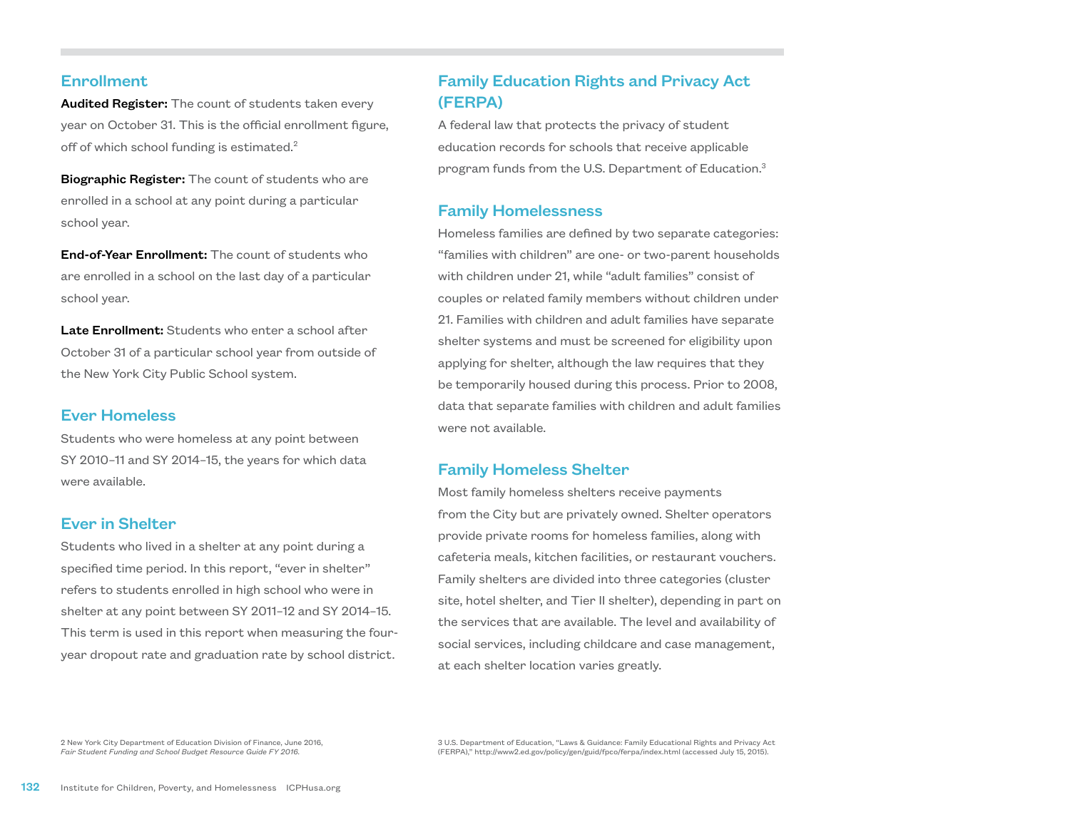#### Enrollment

Audited Register: The count of students taken every year on October 31. This is the official enrollment figure, off of which school funding is estimated.<sup>2</sup>

**Biographic Register:** The count of students who are enrolled in a school at any point during a particular school year.

End-of-Year Enrollment: The count of students who are enrolled in a school on the last day of a particular school year.

Late Enrollment: Students who enter a school after October 31 of a particular school year from outside of the New York City Public School system.

#### Ever Homeless

Students who were homeless at any point between SY 2010–11 and SY 2014–15, the years for which data were available.

#### Ever in Shelter

Students who lived in a shelter at any point during a specified time period. In this report, "ever in shelter" refers to students enrolled in high school who were in shelter at any point between SY 2011–12 and SY 2014–15. This term is used in this report when measuring the fouryear dropout rate and graduation rate by school district.

# Family Education Rights and Privacy Act (FERPA)

A federal law that protects the privacy of student education records for schools that receive applicable program funds from the U.S. Department of Education.<sup>3</sup>

#### Family Homelessness

Homeless families are defined by two separate categories: "families with children" are one- or two-parent households with children under 21, while "adult families" consist of couples or related family members without children under 21. Families with children and adult families have separate shelter systems and must be screened for eligibility upon applying for shelter, although the law requires that they be temporarily housed during this process. Prior to 2008, data that separate families with children and adult families were not available.

#### Family Homeless Shelter

Most family homeless shelters receive payments from the City but are privately owned. Shelter operators provide private rooms for homeless families, along with cafeteria meals, kitchen facilities, or restaurant vouchers. Family shelters are divided into three categories (cluster site, hotel shelter, and Tier II shelter), depending in part on the services that are available. The level and availability of social services, including childcare and case management, at each shelter location varies greatly.

2 New York City Department of Education Division of Finance, June 2016, *Fair Student Funding and School Budget Resource Guide FY 2016.*

3 U.S. Department of Education, "Laws & Guidance: Family Educational Rights and Privacy Act (FERPA)," http://www2.ed.gov/policy/gen/guid/fpco/ferpa/index.html (accessed July 15, 2015).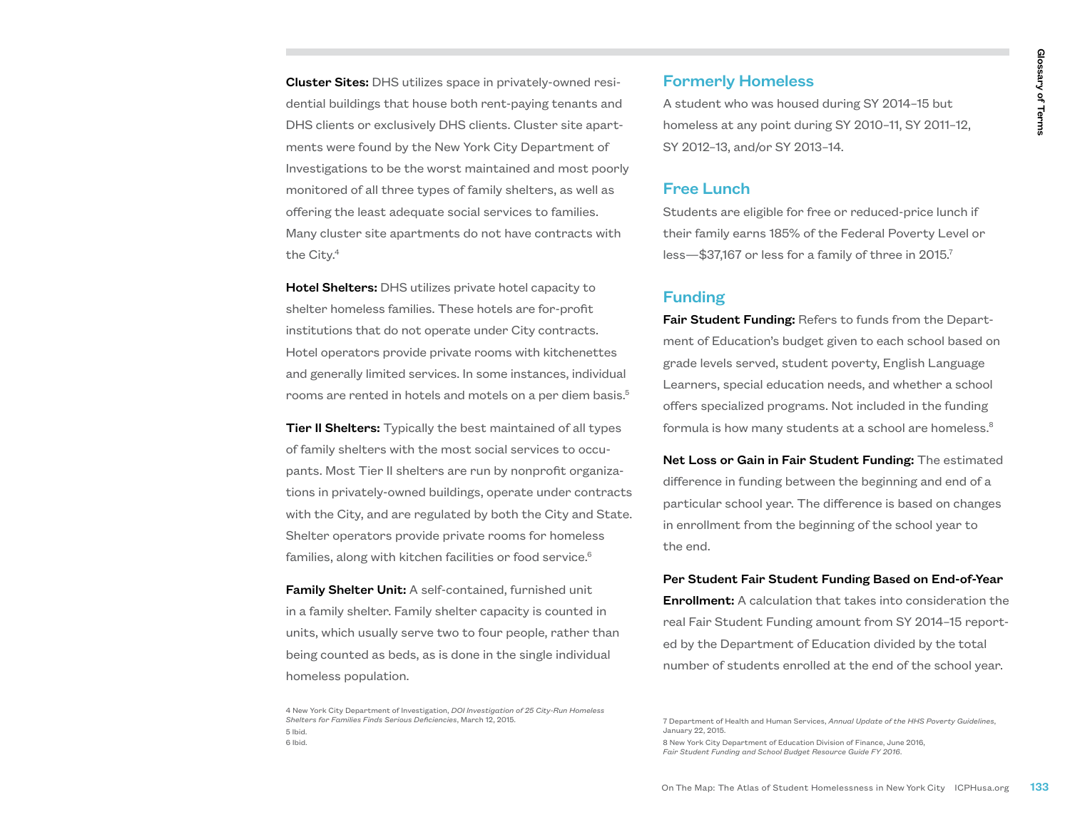Cluster Sites: DHS utilizes space in privately-owned residential buildings that house both rent-paying tenants and DHS clients or exclusively DHS clients. Cluster site apartments were found by the New York City Department of Investigations to be the worst maintained and most poorly monitored of all three types of family shelters, as well as offering the least adequate social services to families. Many cluster site apartments do not have contracts with the City.<sup>4</sup>

Hotel Shelters: DHS utilizes private hotel capacity to shelter homeless families. These hotels are for-profit institutions that do not operate under City contracts. Hotel operators provide private rooms with kitchenettes and generally limited services. In some instances, individual rooms are rented in hotels and motels on a per diem basis.<sup>5</sup>

**Tier II Shelters:** Typically the best maintained of all types of family shelters with the most social services to occupants. Most Tier II shelters are run by nonprofit organizations in privately-owned buildings, operate under contracts with the City, and are regulated by both the City and State. Shelter operators provide private rooms for homeless families, along with kitchen facilities or food service.<sup>6</sup>

**Family Shelter Unit:** A self-contained, furnished unit in a family shelter. Family shelter capacity is counted in units, which usually serve two to four people, rather than being counted as beds, as is done in the single individual homeless population.

#### Formerly Homeless

A student who was housed during SY 2014–15 but homeless at any point during SY 2010–11, SY 2011–12, SY 2012–13, and/or SY 2013–14.

#### Free Lunch

Students are eligible for free or reduced-price lunch if their family earns 185% of the Federal Poverty Level or less—\$37,167 or less for a family of three in  $2015$ .<sup>7</sup>

#### Funding

**Formerly Homeless**<br>
A student who was housed during SY 2014-15 but<br>
homeless at any point during SY 2010-11, SY 2011-12,<br>
SY 2012-13, and/or SY 2013-14.<br>
Free Lunch<br>
Eurelinf Students are eligible for free or reduced-pric Fair Student Funding: Refers to funds from the Department of Education's budget given to each school based on grade levels served, student poverty, English Language Learners, special education needs, and whether a school offers specialized programs. Not included in the funding formula is how many students at a school are homeless.<sup>8</sup>

Net Loss or Gain in Fair Student Funding: The estimated difference in funding between the beginning and end of a particular school year. The difference is based on changes in enrollment from the beginning of the school year to the end.

# Per Student Fair Student Funding Based on End-of-Year

Enrollment: A calculation that takes into consideration the real Fair Student Funding amount from SY 2014–15 reported by the Department of Education divided by the total number of students enrolled at the end of the school year.

8 New York City Department of Education Division of Finance, June 2016, *Fair Student Funding and School Budget Resource Guide FY 2016*.

<sup>4</sup> New York City Department of Investigation, *DOI Investigation of 25 City-Run Homeless Shelters for Families Finds Serious Deficiencies*, March 12, 2015. 5 Ibid.

<sup>6</sup> Ibid.

<sup>7</sup> Department of Health and Human Services, *Annual Update of the HHS Poverty Guidelines*, January 22, 2015.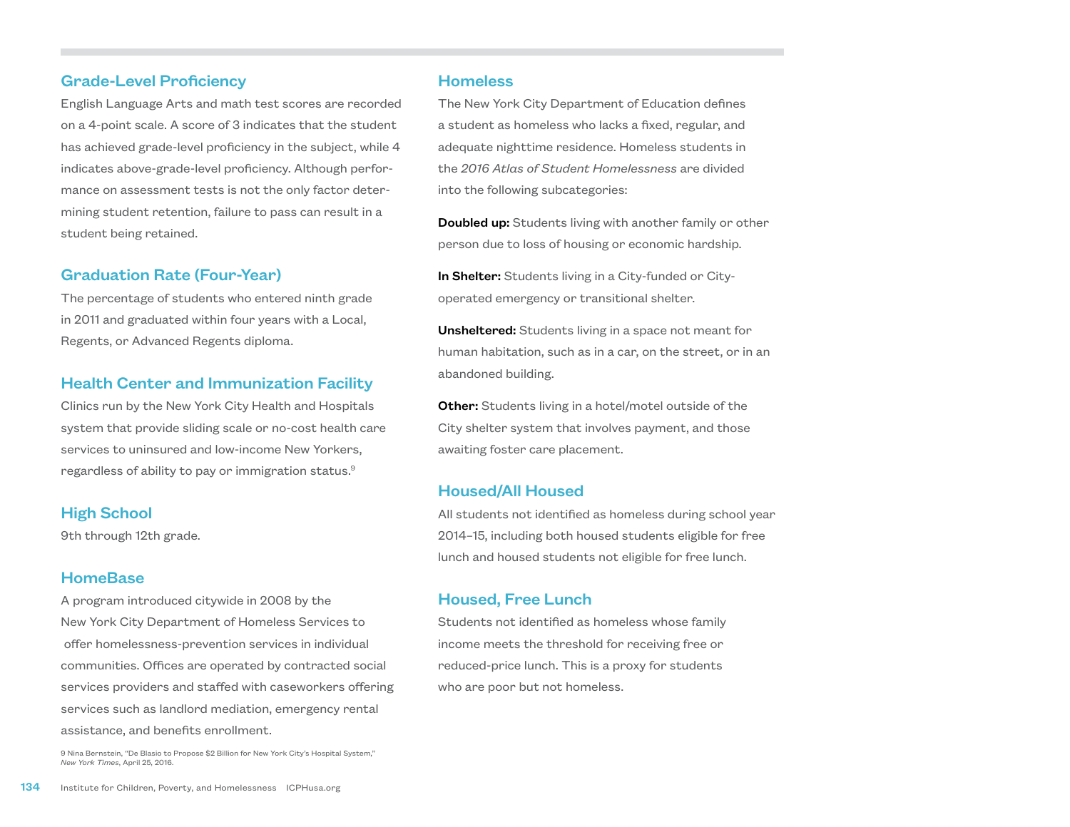#### Grade-Level Proficiency

English Language Arts and math test scores are recorded on a 4-point scale. A score of 3 indicates that the student has achieved grade-level proficiency in the subject, while 4 indicates above-grade-level proficiency. Although performance on assessment tests is not the only factor determining student retention, failure to pass can result in a student being retained.

#### Graduation Rate (Four-Year)

The percentage of students who entered ninth grade in 2011 and graduated within four years with a Local, Regents, or Advanced Regents diploma.

#### Health Center and Immunization Facility

Clinics run by the New York City Health and Hospitals system that provide sliding scale or no-cost health care services to uninsured and low-income New Yorkers, regardless of ability to pay or immigration status.9

#### High School

9th through 12th grade.

#### **HomeBase**

A program introduced citywide in 2008 by the New York City Department of Homeless Services to offer homelessness-prevention services in individual communities. Offices are operated by contracted social services providers and staffed with caseworkers offering services such as landlord mediation, emergency rental assistance, and benefits enrollment.

9 Nina Bernstein, "De Blasio to Propose \$2 Billion for New York City's Hospital System," *New York Times*, April 25, 2016.

#### **Homeless**

The New York City Department of Education defines a student as homeless who lacks a fixed, regular, and adequate nighttime residence. Homeless students in the *2016 Atlas of Student Homelessness* are divided into the following subcategories:

**Doubled up:** Students living with another family or other person due to loss of housing or economic hardship.

In Shelter: Students living in a City-funded or Cityoperated emergency or transitional shelter.

Unsheltered: Students living in a space not meant for human habitation, such as in a car, on the street, or in an abandoned building.

**Other:** Students living in a hotel/motel outside of the City shelter system that involves payment, and those awaiting foster care placement.

#### Housed/All Housed

All students not identified as homeless during school year 2014–15, including both housed students eligible for free lunch and housed students not eligible for free lunch.

#### Housed, Free Lunch

Students not identified as homeless whose family income meets the threshold for receiving free or reduced-price lunch. This is a proxy for students who are poor but not homeless.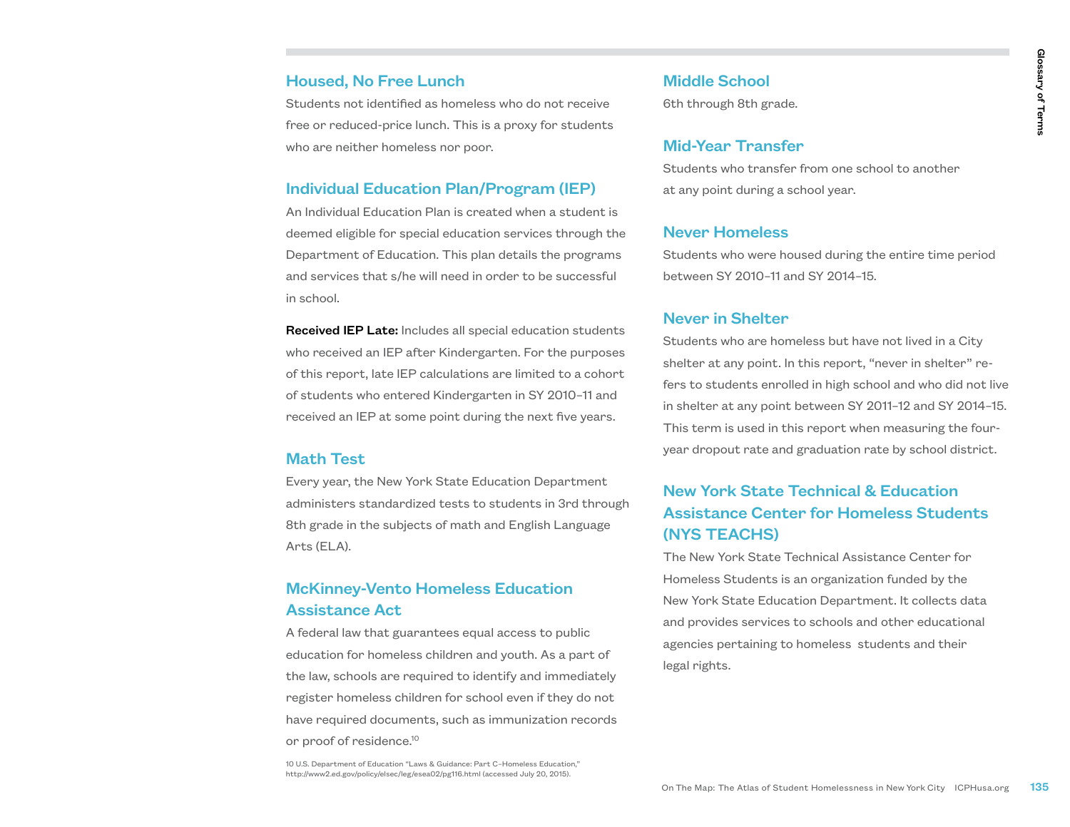#### Housed, No Free Lunch

Students not identified as homeless who do not receive free or reduced-price lunch. This is a proxy for students who are neither homeless nor poor.

#### Individual Education Plan/Program (IEP)

An Individual Education Plan is created when a student is deemed eligible for special education services through the Department of Education. This plan details the programs and services that s/he will need in order to be successful in school.

Received IEP Late: Includes all special education students who received an IEP after Kindergarten. For the purposes of this report, late IEP calculations are limited to a cohort of students who entered Kindergarten in SY 2010–11 and received an IEP at some point during the next five years.

#### Math Test

Every year, the New York State Education Department administers standardized tests to students in 3rd through 8th grade in the subjects of math and English Language Arts (ELA).

## McKinney-Vento Homeless Education Assistance Act

A federal law that guarantees equal access to public education for homeless children and youth. As a part of the law, schools are required to identify and immediately register homeless children for school even if they do not have required documents, such as immunization records or proof of residence.<sup>10</sup>

10 U.S. Department of Education "Laws & Guidance: Part C–Homeless Education," http://www2.ed.gov/policy/elsec/leg/esea02/pg116.html (accessed July 20, 2015).

#### Middle School

6th through 8th grade.

#### Mid-Year Transfer

Students who transfer from one school to another at any point during a school year.

#### Never Homeless

Students who were housed during the entire time period between SY 2010–11 and SY 2014–15.

#### Never in Shelter

Middle School<br>
Sth through 8th grade.<br>
Mid-Year Transfer<br>
Students who transfer from one school to another<br>
at any point during a school year.<br>
Never Homeless<br>
Students who were housed during the entire time period<br>
betwee Students who are homeless but have not lived in a City shelter at any point. In this report, "never in shelter" refers to students enrolled in high school and who did not live in shelter at any point between SY 2011–12 and SY 2014–15. This term is used in this report when measuring the fouryear dropout rate and graduation rate by school district.

## New York State Technical & Education Assistance Center for Homeless Students (NYS TEACHS)

The New York State Technical Assistance Center for Homeless Students is an organization funded by the New York State Education Department. It collects data and provides services to schools and other educational agencies pertaining to homeless students and their legal rights.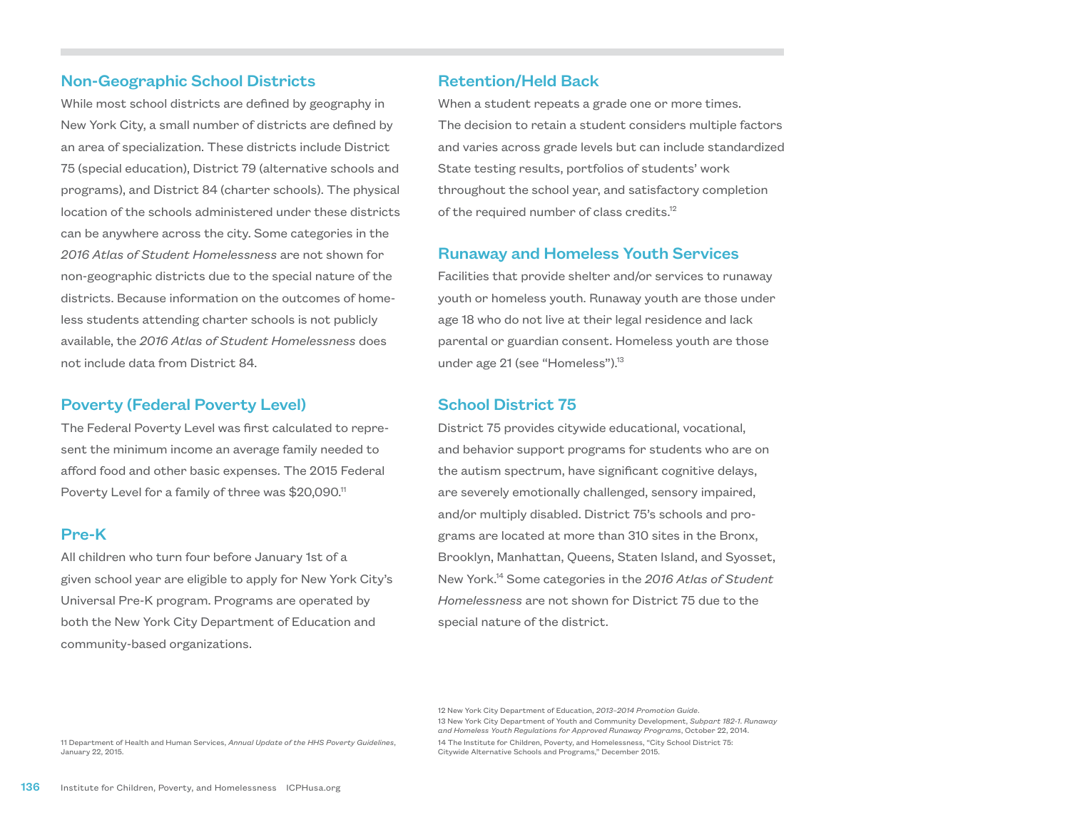#### Non-Geographic School Districts

While most school districts are defined by geography in New York City, a small number of districts are defined by an area of specialization. These districts include District 75 (special education), District 79 (alternative schools and programs), and District 84 (charter schools). The physical location of the schools administered under these districts can be anywhere across the city. Some categories in the *2016 Atlas of Student Homelessness* are not shown for non-geographic districts due to the special nature of the districts. Because information on the outcomes of homeless students attending charter schools is not publicly available, the *2016 Atlas of Student Homelessness* does not include data from District 84.

#### Poverty (Federal Poverty Level)

The Federal Poverty Level was first calculated to represent the minimum income an average family needed to afford food and other basic expenses. The 2015 Federal Poverty Level for a family of three was \$20,090.<sup>11</sup>

#### Pre-K

All children who turn four before January 1st of a given school year are eligible to apply for New York City's Universal Pre-K program. Programs are operated by both the New York City Department of Education and community-based organizations.

#### Retention/Held Back

When a student repeats a grade one or more times. The decision to retain a student considers multiple factors and varies across grade levels but can include standardized State testing results, portfolios of students' work throughout the school year, and satisfactory completion of the required number of class credits.<sup>12</sup>

#### Runaway and Homeless Youth Services

Facilities that provide shelter and/or services to runaway youth or homeless youth. Runaway youth are those under age 18 who do not live at their legal residence and lack parental or guardian consent. Homeless youth are those under age 21 (see "Homeless").13

#### School District 75

District 75 provides citywide educational, vocational, and behavior support programs for students who are on the autism spectrum, have significant cognitive delays, are severely emotionally challenged, sensory impaired, and/or multiply disabled. District 75's schools and programs are located at more than 310 sites in the Bronx, Brooklyn, Manhattan, Queens, Staten Island, and Syosset, New York.14 Some categories in the *2016 Atlas of Student Homelessness* are not shown for District 75 due to the special nature of the district.

11 Department of Health and Human Services, *Annual Update of the HHS Poverty Guidelines*, January 22, 2015.

<sup>12</sup> New York City Department of Education, *2013–2014 Promotion Guide*. 13 New York City Department of Youth and Community Development, *Subpart 182-1*. *Runaway and Homeless Youth Regulations for Approved Runaway Programs*, October 22, 2014. 14 The Institute for Children, Poverty, and Homelessness, "City School District 75: Citywide Alternative Schools and Programs," December 2015.